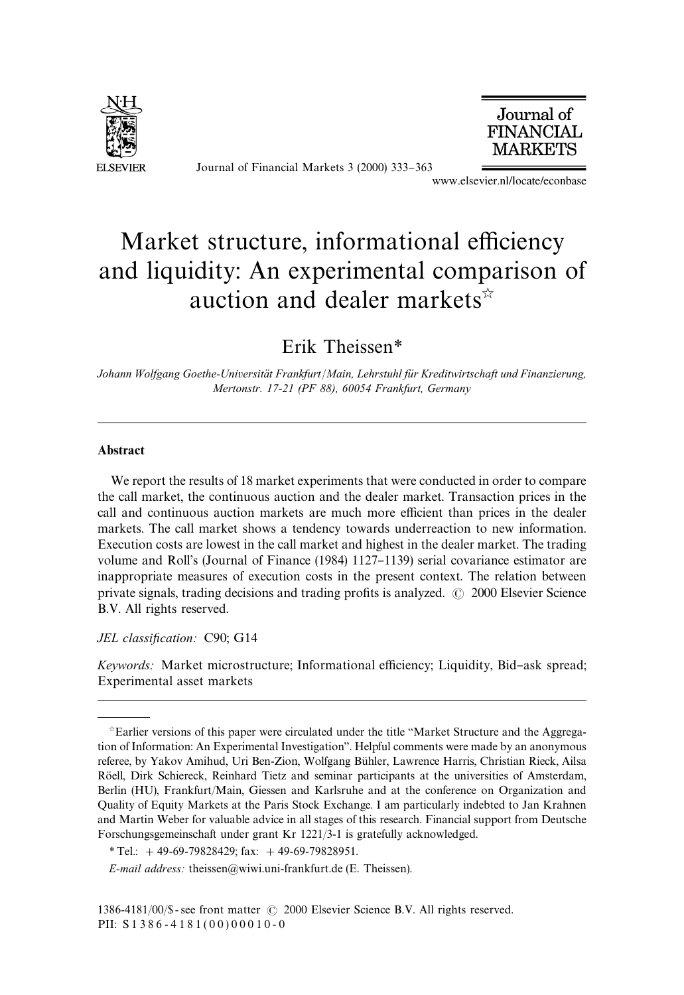

Journal of Financial Markets 3 (2000) 333-363<br>www.elsevier.nl/locate/econbase



## Market structure, informational efficiency and liquidity: An experimental comparison of auction and dealer markets $\dot{x}$

Erik Theissen*\**

*Johann Wolfgang Goethe-Universita*( *t Frankfurt*/*Main, Lehrstuhl fu*(*r Kreditwirtschaft und Finanzierung, Mertonstr. 17-21 (PF 88), 60054 Frankfurt, Germany*

## Abstract

We report the results of 18 market experiments that were conducted in order to compare the call market, the continuous auction and the dealer market. Transaction prices in the call and continuous auction markets are much more efficient than prices in the dealer markets. The call market shows a tendency towards underreaction to new information. Execution costs are lowest in the call market and highest in the dealer market. The trading volume and Roll's (Journal of Finance (1984) 1127–1139) serial covariance estimator are inappropriate measures of execution costs in the present context. The relation between private signals, trading decisions and trading profits is analyzed.  $\odot$  2000 Elsevier Science B.V. All rights reserved.

*JEL classification:* C90; G14

*Keywords:* Market microstructure; Informational efficiency; Liquidity, Bid-ask spread; Experimental asset markets

 $\dot{\gamma}$ Earlier versions of this paper were circulated under the title "Market Structure and the Aggregation of Information: An Experimental Investigation". Helpful comments were made by an anonymous referee, by Yakov Amihud, Uri Ben-Zion, Wolfgang Bühler, Lawrence Harris, Christian Rieck, Ailsa Röell, Dirk Schiereck, Reinhard Tietz and seminar participants at the universities of Amsterdam, Berlin (HU), Frankfurt/Main, Giessen and Karlsruhe and at the conference on Organization and Quality of Equity Markets at the Paris Stock Exchange. I am particularly indebted to Jan Krahnen and Martin Weber for valuable advice in all stages of this research. Financial support from Deutsche Forschungsgemeinschaft under grant Kr 1221/3-1 is gratefully acknowledged.

*<sup>\*</sup>*Tel.: #49-69-79828429; fax: #49-69-79828951.

*E-mail address:* theissen@wiwi.uni-frankfurt.de (E. Theissen).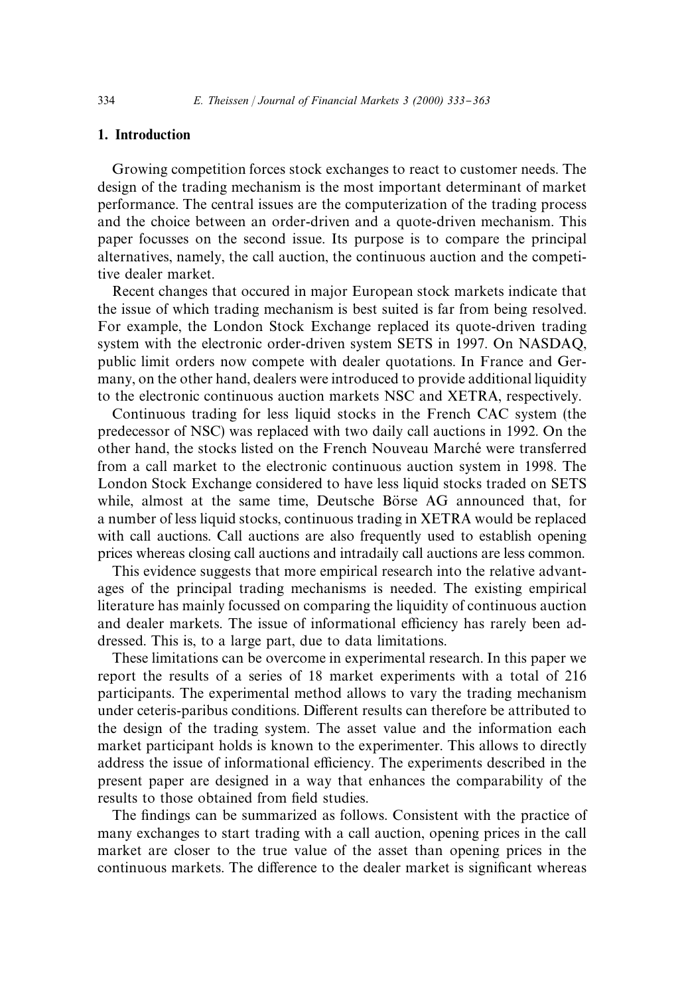## 1. Introduction

Growing competition forces stock exchanges to react to customer needs. The design of the trading mechanism is the most important determinant of market performance. The central issues are the computerization of the trading process and the choice between an order-driven and a quote-driven mechanism. This paper focusses on the second issue. Its purpose is to compare the principal alternatives, namely, the call auction, the continuous auction and the competitive dealer market.

Recent changes that occured in major European stock markets indicate that the issue of which trading mechanism is best suited is far from being resolved. For example, the London Stock Exchange replaced its quote-driven trading system with the electronic order-driven system SETS in 1997. On NASDAQ, public limit orders now compete with dealer quotations. In France and Germany, on the other hand, dealers were introduced to provide additional liquidity to the electronic continuous auction markets NSC and XETRA, respectively.

Continuous trading for less liquid stocks in the French CAC system (the predecessor of NSC) was replaced with two daily call auctions in 1992. On the other hand, the stocks listed on the French Nouveau Marché were transferred from a call market to the electronic continuous auction system in 1998. The London Stock Exchange considered to have less liquid stocks traded on SETS while, almost at the same time, Deutsche Börse AG announced that, for a number of less liquid stocks, continuous trading in XETRA would be replaced with call auctions. Call auctions are also frequently used to establish opening prices whereas closing call auctions and intradaily call auctions are less common.

This evidence suggests that more empirical research into the relative advantages of the principal trading mechanisms is needed. The existing empirical literature has mainly focussed on comparing the liquidity of continuous auction and dealer markets. The issue of informational efficiency has rarely been addressed. This is, to a large part, due to data limitations.

These limitations can be overcome in experimental research. In this paper we report the results of a series of 18 market experiments with a total of 216 participants. The experimental method allows to vary the trading mechanism under ceteris-paribus conditions. Different results can therefore be attributed to the design of the trading system. The asset value and the information each market participant holds is known to the experimenter. This allows to directly address the issue of informational efficiency. The experiments described in the present paper are designed in a way that enhances the comparability of the results to those obtained from field studies.

The findings can be summarized as follows. Consistent with the practice of many exchanges to start trading with a call auction, opening prices in the call market are closer to the true value of the asset than opening prices in the continuous markets. The difference to the dealer market is significant whereas